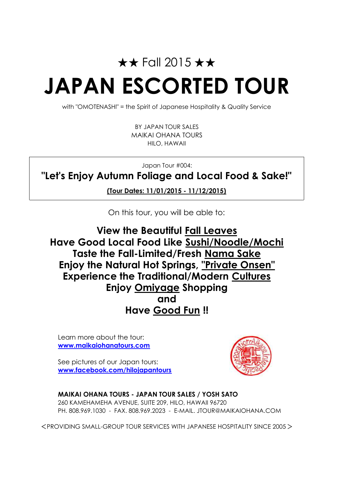# ★★ Fall 2015 ★★ **JAPAN ESCORTED TOUR**

with "OMOTENASHI" = the Spirit of Japanese Hospitality & Quality Service

HILO, HAWAII MAIKAI OHANA TOURS BY JAPAN TOUR SALES

Japan Tour #004:

**"Let's Enjoy Autumn Foliage and Local Food & Sake!"**

**(Tour Dates: 11/01/2015 - 11/12/2015)**

On this tour, you will be able to:

**Have Good Fun !! View the Beautiful Fall Leaves Have Good Local Food Like Sushi/Noodle/Mochi Taste the Fall-Limited/Fresh Nama Sake Enjoy the Natural Hot Springs, "Private Onsen" Experience the Traditional/Modern Cultures Enjoy Omiyage Shopping and**

Learn more about the tour: **www.maikaiohanatours.com**

See pictures of our Japan tours: **www.facebook.com/hilojapantours**



**MAIKAI OHANA TOURS - JAPAN TOUR SALES / YOSH SATO** 260 KAMEHAMEHA AVENUE, SUITE 209, HILO, HAWAII 96720 PH. 808.969.1030 - FAX. 808.969.2023 - E-MAIL. JTOUR@MAIKAIOHANA.COM

<PROVIDING SMALL-GROUP TOUR SERVICES WITH JAPANESE HOSPITALITY SINCE 2005>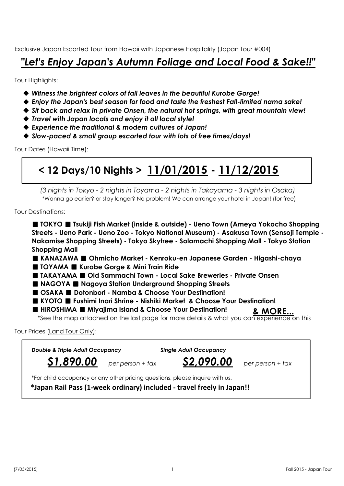Exclusive Japan Escorted Tour from Hawaii with Japanese Hospitality (Japan Tour #004)

### *"Let's Enjoy Japan's Autumn Foliage and Local Food & Sake!!"*

Tour Highlights:

- ◆ *Witness the brightest colors of fall leaves in the beautiful Kurobe Gorge!*
- ◆ *Enjoy the Japan's best season for food and taste the freshest Fall-limited nama sake!*
- ◆ *Sit back and relax in private Onsen, the natural hot springs, with great mountain view!*
- ◆ *Travel with Japan locals and enjoy it all local style!*
- ◆ *Experience the traditional & modern cultures of Japan!*
- ◆ *Slow-paced & small group escorted tour with lots of free times/days!*

Tour Dates (Hawaii Time):

## **< 12 Days/10 Nights > 11/01/2015 - 11/12/2015**

*(3 nights in Tokyo - 2 nights in Toyama - 2 nights in Takayama - 3 nights in Osaka)* \*Wanna go earlier? or stay longer? No problem! We can arrange your hotel in Japan! (for free)

Tour Destinations:

■ **TOKYO** ■ **Tsukiji Fish Market (inside & outside) - Ueno Town (Ameya Yokocho Shopping Streets - Ueno Park - Ueno Zoo - Tokyo National Museum) - Asakusa Town (Sensoji Temple - Nakamise Shopping Streets) - Tokyo Skytree - Solamachi Shopping Mall - Tokyo Station Shopping Mall**

■ **KANAZAWA** ■ **Ohmicho Market - Kenroku-en Japanese Garden - Higashi-chaya**

- ■ **TOYAMA** ■ **Kurobe Gorge & Mini Train Ride**
- ■ **TAKAYAMA** ■ **Old Sammachi Town Local Sake Breweries Private Onsen**
- **NAGOYA Nagoya Station Underground Shopping Streets**
- ■ **OSAKA** ■ **Dotonbori Namba & Choose Your Destination!**
- ■ **KYOTO** ■ **Fushimi Inari Shrine Nishiki Market & Choose Your Destination!**
- **HIROSHIMA** Miyajima Island & Choose Your Destination!

\*See the map attached on the last page for more details & what you can experience on this **& MORE...**

Tour Prices (Land Tour Only):

| <b>Double &amp; Triple Adult Occupancy</b> | <b>Single Adult Occupancy</b>                                                |                  |
|--------------------------------------------|------------------------------------------------------------------------------|------------------|
| $$1,890.00$ per person + tax               | S2,090.00                                                                    | per person + tax |
|                                            | *For child occupancy or any other pricing questions, please inquire with us. |                  |
|                                            | *Japan Rail Pass (1-week ordinary) included - travel freely in Japan!!       |                  |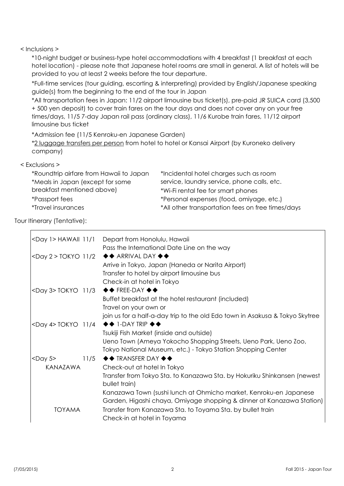#### < Inclusions >

\*10-night budget or business-type hotel accommodations with 4 breakfast (1 breakfast at each hotel location) - please note that Japanese hotel rooms are small in general. A list of hotels will be provided to you at least 2 weeks before the tour departure.

\*Full-time services (tour guiding, escorting & interpreting) provided by English/Japanese speaking guide(s) from the beginning to the end of the tour in Japan

\*All transportation fees in Japan: 11/2 airport limousine bus ticket(s), pre-paid JR SUICA card (3,500 + 500 yen deposit) to cover train fares on the tour days and does not cover any on your free times/days, 11/5 7-day Japan rail pass (ordinary class), 11/6 Kurobe train fares, 11/12 airport limousine bus ticket

\*Admission fee (11/5 Kenroku-en Japanese Garden)

\*2 luggage transfers per person from hotel to hotel or Kansai Airport (by Kuroneko delivery company)

#### < Exclusions >

| *Incidental hotel charges such as room            |
|---------------------------------------------------|
| service, laundry service, phone calls, etc.       |
| *Wi-Fi rental fee for smart phones                |
| *Personal expenses (food, omiyage, etc.)          |
| *All other transportation fees on free times/days |
|                                                   |

Tour Itinerary (Tentative):

 $\overline{r}$ 

| <day 1=""> HAWAII 11/1</day> | Depart from Honolulu, Hawaii                                                                                                               |
|------------------------------|--------------------------------------------------------------------------------------------------------------------------------------------|
|                              | Pass the International Date Line on the way                                                                                                |
| $<$ Day 2 > TOKYO 11/2       | $\leftrightarrow$ ARRIVAL DAY $\leftrightarrow$                                                                                            |
|                              | Arrive in Tokyo, Japan (Haneda or Narita Airport)                                                                                          |
|                              | Transfer to hotel by airport limousine bus                                                                                                 |
|                              | Check-in at hotel in Tokyo                                                                                                                 |
|                              | <day 3=""> TOKYO 11/3 ◆◆ FREE-DAY ◆◆</day>                                                                                                 |
|                              | Buffet breakfast at the hotel restaurant (included)                                                                                        |
|                              | Travel on your own or                                                                                                                      |
|                              | join us for a half-a-day trip to the old Edo town in Asakusa & Tokyo Skytree                                                               |
| <day 4=""> TOKYO 11/4</day>  | $\leftrightarrow$ 1-DAY TRIP $\leftrightarrow$                                                                                             |
|                              | Tsukiji Fish Market (inside and outside)                                                                                                   |
|                              | Ueno Town (Ameya Yokocho Shopping Streets, Ueno Park, Ueno Zoo,<br>Tokyo National Museum, etc.) - Tokyo Station Shopping Center            |
| $<$ Day 5 $>$                | 11/5 $\leftrightarrow$ TRANSFER DAY $\leftrightarrow$                                                                                      |
| KANAZAWA                     | Check-out at hotel In Tokyo                                                                                                                |
|                              | Transfer from Tokyo Sta. to Kanazawa Sta. by Hokuriku Shinkansen (newest<br>bullet train)                                                  |
|                              | Kanazawa Town (sushi lunch at Ohmicho market, Kenroku-en Japanese<br>Garden, Higashi chaya, Omiyage shopping & dinner at Kanazawa Station) |
| <b>TOYAMA</b>                | Transfer from Kanazawa Sta. to Toyama Sta. by bullet train                                                                                 |
|                              | Check-in at hotel in Toyama                                                                                                                |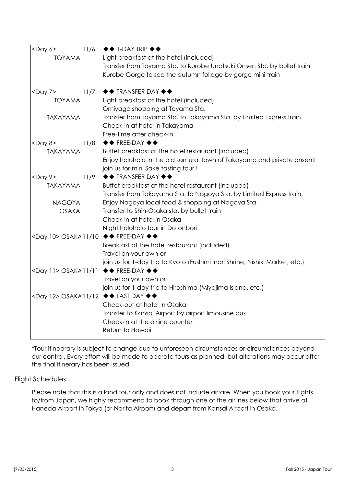| $<$ Day 6><br>11/6                           | $\leftrightarrow$ 1-DAY TRIP $\leftrightarrow$                                                                     |
|----------------------------------------------|--------------------------------------------------------------------------------------------------------------------|
| <b>TOYAMA</b>                                | Light breakfast at the hotel (included)<br>Transfer from Toyama Sta. to Kurobe Unatsuki Onsen Sta. by bullet train |
|                                              | Kurobe Gorge to see the autumn foliage by gorge mini train                                                         |
| <day 7=""><br/>11/7</day>                    | $\blacklozenge\blacklozenge$ TRANSFER DAY $\blacklozenge\blacklozenge$                                             |
| <b>TOYAMA</b>                                | Light breakfast at the hotel (included)                                                                            |
|                                              | Omiyage shopping at Toyama Sta.                                                                                    |
| <b>TAKAYAMA</b>                              | Transfer from Toyama Sta. to Takayama Sta. by Limited Express train<br>Check-in at hotel in Takayama               |
|                                              | Free-time after check-in                                                                                           |
| $<$ Day 8><br>11/8                           | $\blacklozenge\blacklozenge$ FREE-DAY $\blacklozenge\blacklozenge$                                                 |
| <b>TAKAYAMA</b>                              | Buffet breakfast at the hotel restaurant (included)                                                                |
|                                              | Enjoy holoholo in the old samurai town of Takayama and private onsen!!<br>join us for mini Sake tasting tour!!     |
| $<$ Day 9><br>11/9                           | $\blacklozenge\blacklozenge$ TRANSFER DAY $\blacklozenge\blacklozenge$                                             |
| <b>TAKAYAMA</b>                              | Buffet breakfast at the hotel restaurant (included)                                                                |
|                                              | Transfer from Takayama Sta. to Nagoya Sta. by Limited Express train,                                               |
| <b>NAGOYA</b>                                | Enjoy Nagoya local food & shopping at Nagoya Sta.                                                                  |
| <b>OSAKA</b>                                 | Transfer to Shin-Osaka sta. by bullet train                                                                        |
|                                              | Check-in at hotel in Osaka                                                                                         |
|                                              | Night holoholo tour in Dotonbori                                                                                   |
| <day 10=""> OSAKA 11/10 ◆◆ FREE-DAY ◆◆</day> |                                                                                                                    |
|                                              | Breakfast at the hotel restaurant (included)                                                                       |
|                                              | Travel on your own or                                                                                              |
|                                              | join us for 1-day trip to Kyoto (Fushimi Inari Shrine, Nishiki Market, etc.)                                       |
| <day 11=""> OSAKA 11/11 ♦♦ FREE-DAY ♦♦</day> | Travel on your own or                                                                                              |
|                                              | join us for 1-day trip to Hiroshima (Miyajima Island, etc.)                                                        |
| <day 12=""> OSAKA 11/12 ◆◆ LAST DAY ◆◆</day> |                                                                                                                    |
|                                              | Check-out at hotel In Osaka                                                                                        |
|                                              | Transfer to Kansai Airport by airport limousine bus                                                                |
|                                              | Check-in at the airline counter                                                                                    |
|                                              | Return to Hawaii                                                                                                   |
|                                              |                                                                                                                    |

\*Tour itinearary is subject to change due to unforeseen circumstances or circumstances beyond our control. Every effort will be made to operate tours as planned, but alterations may occur after the final itinerary has been issued.

#### Flight Schedules:

Please note that this is a land tour only and does not include airfare. When you book your flights to/from Japan, we highly recommend to book through one of the airlines below that arrive at Haneda Airport in Tokyo (or Narita Airport) and depart from Kansai Airport in Osaka.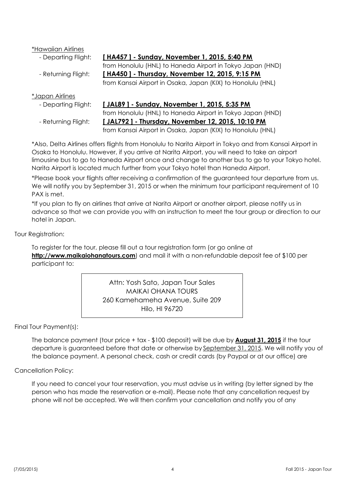\*Hawaiian Airlines

- Departing Flight:

- Returning Flight:

- Departing Flight:

- Returning Flight:

#### **[ HA457 ] - Sunday, November 1, 2015, 5:40 PM**

from Honolulu (HNL) to Haneda Airport in Tokyo Japan (HND) **[ HA450 ] - Thursday, November 12, 2015, 9:15 PM** from Kansai Airport in Osaka, Japan (KIX) to Honolulu (HNL)

#### \*Japan Airlines

#### **[ JAL89 ] - Sunday, November 1, 2015, 5:35 PM**

from Honolulu (HNL) to Haneda Airport in Tokyo Japan (HND) **[ JAL792 ] - Thursday, November 12, 2015, 10:10 PM**

from Kansai Airport in Osaka, Japan (KIX) to Honolulu (HNL)

\*Also, Delta Airlines offers flights from Honolulu to Narita Airport in Tokyo and from Kansai Airport in Osaka to Honolulu. However, if you arrive at Narita Airport, you will need to take an airport limousine bus to go to Haneda Airport once and change to another bus to go to your Tokyo hotel. Narita Airport is located much further from your Tokyo hotel than Haneda Airport.

\*Please book your flights after receiving a confirmation of the guaranteed tour departure from us. We will notify you by September 31, 2015 or when the minimum tour participant requirement of 10 PAX is met.

\*If you plan to fly on airlines that arrive at Narita Airport or another airport, please notify us in advance so that we can provide you with an instruction to meet the tour group or direction to our hotel in Japan.

#### Tour Registration:

To register for the tour, please fill out a tour registration form (or go online at **http://www.maikaiohanatours.com**) and mail it with a non-refundable deposit fee of \$100 per participant to:

> Attn: Yosh Sato, Japan Tour Sales MAIKAI OHANA TOURS 260 Kamehameha Avenue, Suite 209 Hilo, HI 96720

#### Final Tour Payment(s):

The balance payment (tour price + tax - \$100 deposit) will be due by **August 31, 2015** if the tour departure is guaranteed before that date or otherwise by September 31, 2015. We will notify you of the balance payment. A personal check, cash or credit cards (by Paypal or at our office) are

#### Cancellation Policy:

If you need to cancel your tour reservation, you must advise us in writing (by letter signed by the person who has made the reservation or e-mail). Please note that any cancellation request by phone will not be accepted. We will then confirm your cancellation and notify you of any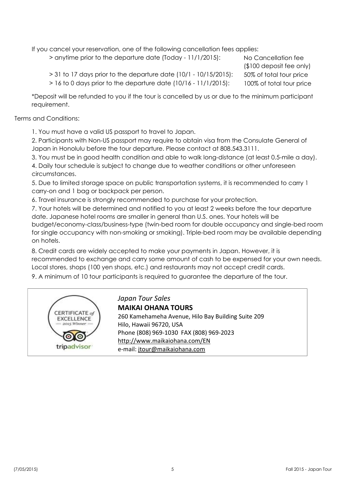If you cancel your reservation, one of the following cancellation fees applies:

> anytime prior to the departure date (Today - 11/1/2015):

No Cancellation fee 50% of total tour price 100% of total tour price (\$100 deposit fee only)

> 31 to 17 days prior to the departure date (10/1 - 10/15/2015):

> 16 to 0 days prior to the departure date (10/16 - 11/1/2015):

\*Deposit will be refunded to you if the tour is cancelled by us or due to the minimum participant requirement.

Terms and Conditions:

1. You must have a valid US passport to travel to Japan.

2. Participants with Non-US passport may require to obtain visa from the Consulate General of Japan in Honolulu before the tour departure. Please contact at 808.543.3111.

3. You must be in good health condition and able to walk long-distance (at least 0.5-mile a day).

4. Daily tour schedule is subject to change due to weather conditions or other unforeseen circumstances.

5. Due to limited storage space on public transportation systems, it is recommended to carry 1 carry-on and 1 bag or backpack per person.

6. Travel insurance is strongly recommended to purchase for your protection.

7. Your hotels will be determined and notified to you at least 2 weeks before the tour departure date. Japanese hotel rooms are smaller in general than U.S. ones. Your hotels will be budget/economy-class/business-type (twin-bed room for double occupancy and single-bed room for single occupancy with non-smoking or smoking). Triple-bed room may be available depending on hotels.

8. Credit cards are widely accepted to make your payments in Japan. However, it is recommended to exchange and carry some amount of cash to be expensed for your own needs. Local stores, shops (100 yen shops, etc.) and restaurants may not accept credit cards.

9. A minimum of 10 tour participants is required to guarantee the departure of the tour.



*Japan Tour Sales* **MAIKAI OHANA TOURS** 260 Kamehameha Avenue, Hilo Bay Building Suite 209 Hilo, Hawaii 96720, USA Phone (808) 969-1030 FAX (808) 969-2023 http://www.maikaiohana.com/EN e-mail: jtour@maikaiohana.com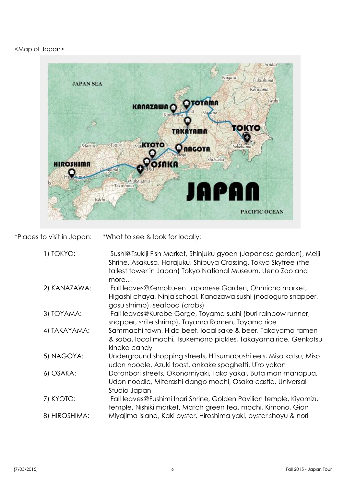#### <Map of Japan>



\*Places to visit in Japan: \*What to see & look for locally:

| 1) TOKYO:     | Sushi@Tsukiji Fish Market, Shinjuku gyoen (Japanese garden), Meiji<br>Shrine, Asakusa, Harajuku, Shibuya Crossing, Tokyo Skytree (the<br>tallest tower in Japan) Tokyo National Museum, Ueno Zoo and<br>more |
|---------------|--------------------------------------------------------------------------------------------------------------------------------------------------------------------------------------------------------------|
| 2) KANAZAWA:  | Fall leaves@Kenroku-en Japanese Garden, Ohmicho market,<br>Higashi chaya, Ninja school, Kanazawa sushi (nodoguro snapper,<br>gasu shrimp), seafood (crabs)                                                   |
| 3) TOYAMA:    | Fall leaves@Kurobe Gorge, Toyama sushi (buri rainbow runner,<br>snapper, shite shrimp), Toyama Ramen, Toyama rice                                                                                            |
| 4) TAKAYAMA:  | Sammachi town, Hida beef, local sake & beer, Takayama ramen<br>& soba, local mochi, Tsukemono pickles, Takayama rice, Genkotsu<br>kinako candy                                                               |
| 5) NAGOYA:    | Underground shopping streets, Hitsumabushi eels, Miso katsu, Miso<br>udon noodle, Azuki toast, ankake spaghetti, Uiro yokan                                                                                  |
| 6) OSAKA:     | Dotonbori streets, Okonomiyaki, Tako yakai, Buta man manapua,<br>Udon noodle, Mitarashi dango mochi, Osaka castle, Universal<br>Studio Japan                                                                 |
| 7) KYOTO:     | Fall leaves@Fushimi Inari Shrine, Golden Pavilion temple, Kiyomizu<br>temple, Nishiki market, Match green tea, mochi, Kimono, Gion                                                                           |
| 8) HIROSHIMA: | Miyajima island, Kaki oyster, Hiroshima yaki, oyster shoyu & nori                                                                                                                                            |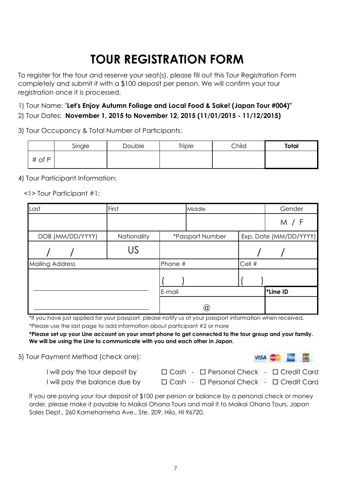## **TOUR REGISTRATION FORM**

To register for the tour and reserve your seat(s), please fill out this Tour Registration Form completely and submit it with a \$100 deposit per person. We will confirm your tour registration once it is processed.

1) Tour Name: "**Let's Enjoy Autumn Foliage and Local Food & Sake! (Japan Tour #004)"**

2) Tour Dates: **November 1, 2015 to November 12, 2015 (11/01/2015 - 11/12/2015)**

3) Tour Occupancy & Total Number of Participants:

|        | Single | Double | Triple | Child | <b>Total</b> |
|--------|--------|--------|--------|-------|--------------|
| # of P |        |        |        |       |              |

4) Tour Participant Information:

<1> Tour Participant #1:

| Last                   | First       |         | Middle           |        | Gender                 |
|------------------------|-------------|---------|------------------|--------|------------------------|
|                        |             |         |                  |        | M / F                  |
| DOB (MM/DD/YYYY)       | Nationality |         | *Passport Number |        | Exp. Date (MM/DD/YYYY) |
|                        | US          |         |                  |        |                        |
| <b>Mailing Address</b> |             | Phone # |                  | Cell # |                        |
|                        |             |         |                  |        |                        |
|                        |             | E-mail  |                  |        | <b>*Line ID</b>        |
|                        |             |         | $^\copyright$    |        |                        |

\*If you have just applied for your passport, please notify us of your passport information when received. \*Please use the last page to add information about participant #2 or more

**\*Please set up your Line account on your smart phone to get connected to the tour group and your family. We will be using the Line to communicate with you and each other in Japan.**

5) Tour Payment Method (check one):



I will pay the tour deposit by

□ Cash - □ Personal Check - □ Credit Card

I will pay the balance due by

□ Cash - □ Personal Check - □ Credit Card

If you are paying your tour deposit of \$100 per person or balance by a personal check or money order, please make it payable to Maikai Ohana Tours and mail it to Maikai Ohana Tours, Japan Sales Dept., 260 Kamehameha Ave., Ste. 209, Hilo, HI 96720.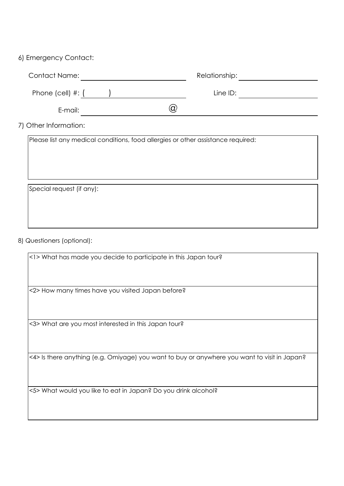#### 6) Emergency Contact:

| <b>Contact Name:</b>  |   | Relationship: |  |
|-----------------------|---|---------------|--|
| Phone (cell) $\#$ : ( |   | Line ID:      |  |
| E-mail:               | ά |               |  |

7) Other Information:

Please list any medical conditions, food allergies or other assistance required:

Special request (if any):

8) Questioners (optional):

<1> What has made you decide to participate in this Japan tour?

<2> How many times have you visited Japan before?

<3> What are you most interested in this Japan tour?

<4> Is there anything (e.g. Omiyage) you want to buy or anywhere you want to visit in Japan?

<5> What would you like to eat in Japan? Do you drink alcohol?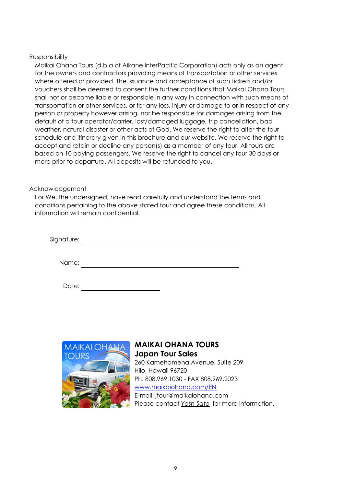#### Responsibility

Maikai Ohana Tours (d.b.a of Aikane InterPacific Corporation) acts only as an agent for the owners and contractors providing means of transportation or other services where offered or provided. The issuance and acceptance of such tickets and/or vouchers shall be deemed to consent the further conditions that Maikai Ohana Tours shall not or become liable or responsible in any way in connection with such means of transportation or other services, or for any loss, injury or damage to or in respect of any person or property however arising, nor be responsible for damages arising from the default of a tour operator/carrier, lost/damaged luggage, trip cancellation, bad weather, natural disaster or other acts of God. We reserve the right to alter the tour schedule and itinerary given in this brochure and our website. We reserve the right to accept and retain or decline any person(s) as a member of any tour. All tours are based on 10 paying passengers. We reserve the right to cancel any tour 30 days or more prior to departure. All deposits will be refunded to you.

#### Acknowledgement

I or We, the undersigned, have read carefully and understand the terms and conditions pertaining to the above stated tour and agree these conditions. All information will remain confidential.

| Signature: |  |  |  |
|------------|--|--|--|
|            |  |  |  |
| Name:      |  |  |  |



#### **MAIKAI OHANA TOURS Japan Tour Sales** 260 Kamehameha Avenue, Suite 209 Hilo, Hawaii 96720 Ph. 808.969.1030 - FAX 808.969.2023 www.maikaiohana.com/EN E-mail: jtour@maikaiohana.com Please contact *Yosh Sato* for more information.